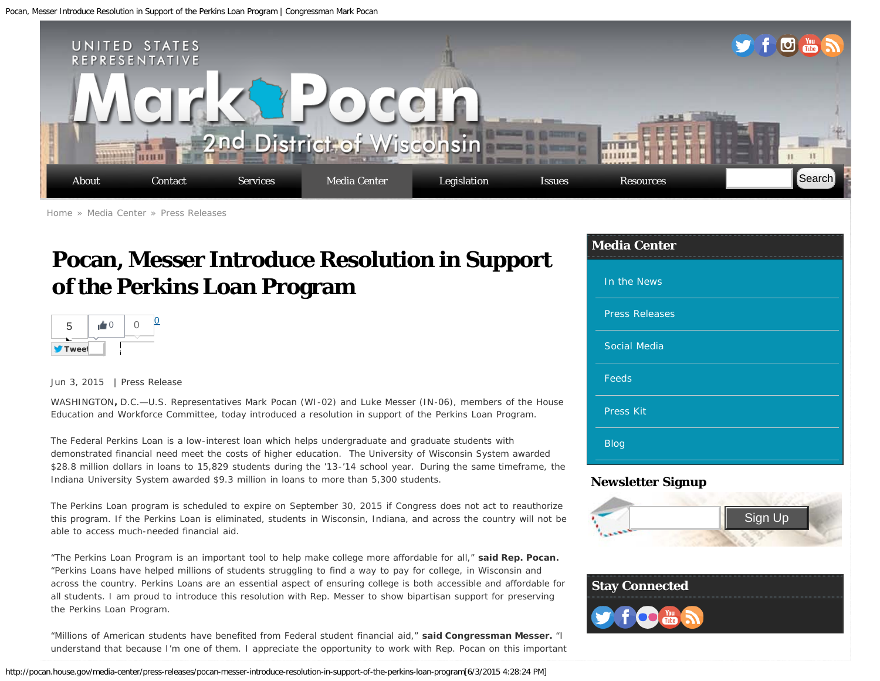<span id="page-0-0"></span>Pocan, Messer Introduce Resolution in Support of the Perkins Loan Program | Congressman Mark Pocan



[Home](http://pocan.house.gov/) » [Media Center](http://pocan.house.gov/media-center) » [Press Releases](http://pocan.house.gov/media-center/press-releases)

# **Pocan, Messer Introduce Resolution in Support of the Perkins Loan Program**



#### Jun 3, 2015 | Press Release

WASHINGTON**,** D.C.—U.S. Representatives Mark Pocan (WI-02) and Luke Messer (IN-06), members of the House Education and Workforce Committee, today introduced a resolution in support of the Perkins Loan Program.

The Federal Perkins Loan is a low-interest loan which helps undergraduate and graduate students with demonstrated financial need meet the costs of higher education. The University of Wisconsin System awarded \$28.8 million dollars in loans to 15,829 students during the '13-'14 school year. During the same timeframe, the Indiana University System awarded \$9.3 million in loans to more than 5,300 students.

The Perkins Loan program is scheduled to expire on September 30, 2015 if Congress does not act to reauthorize this program. If the Perkins Loan is eliminated, students in Wisconsin, Indiana, and across the country will not be able to access much-needed financial aid.

"The Perkins Loan Program is an important tool to help make college more affordable for all," **said Rep. Pocan.** "Perkins Loans have helped millions of students struggling to find a way to pay for college, in Wisconsin and across the country. Perkins Loans are an essential aspect of ensuring college is both accessible and affordable for all students. I am proud to introduce this resolution with Rep. Messer to show bipartisan support for preserving the Perkins Loan Program.

"Millions of American students have benefited from Federal student financial aid," **said Congressman Messer.** "I understand that because I'm one of them. I appreciate the opportunity to work with Rep. Pocan on this important

http://pocan.house.gov/media-center/press-releases/pocan-messer-introduce-resolution-in-support-of-the-perkins-loan-program[6/3/2015 4:28:24 PM]

#### **Media Center**

| In the News           |
|-----------------------|
| <b>Press Releases</b> |
| <b>Social Media</b>   |
| Feeds                 |
| Press Kit             |
| <b>Blog</b>           |

### **Newsletter Signup**